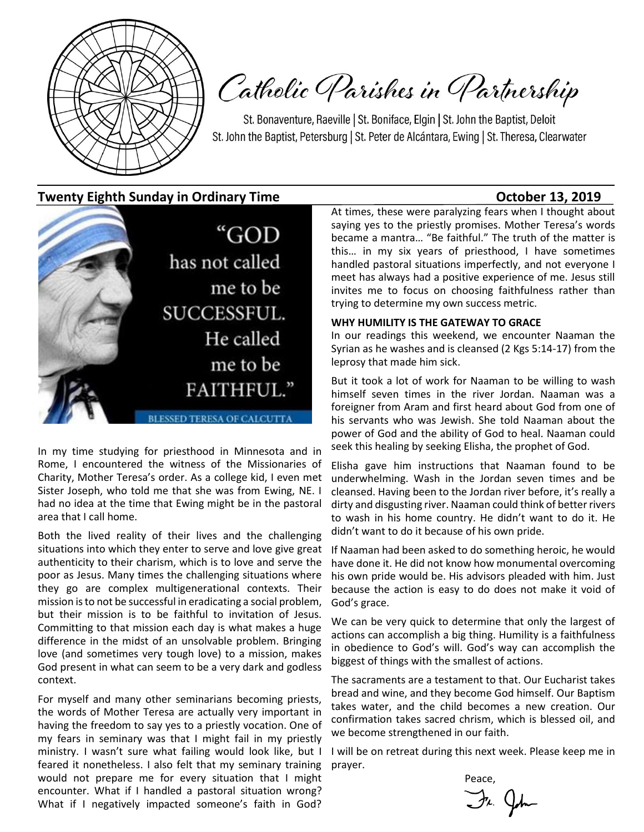

Catholic Parishes in Partnership

St. Bonaventure, Raeville | St. Boniface, Elgin | St. John the Baptist, Deloit St. John the Baptist, Petersburg | St. Peter de Alcántara, Ewing | St. Theresa, Clearwater

**Twenty Eighth Sunday in Ordinary Time Community Constraints Constraints Constraints Constraints October 13, 2019** 



In my time studying for priesthood in Minnesota and in Rome, I encountered the witness of the Missionaries of Charity, Mother Teresa's order. As a college kid, I even met Sister Joseph, who told me that she was from Ewing, NE. I had no idea at the time that Ewing might be in the pastoral area that I call home.

Both the lived reality of their lives and the challenging situations into which they enter to serve and love give great authenticity to their charism, which is to love and serve the poor as Jesus. Many times the challenging situations where they go are complex multigenerational contexts. Their mission is to not be successful in eradicating a social problem, but their mission is to be faithful to invitation of Jesus. Committing to that mission each day is what makes a huge difference in the midst of an unsolvable problem. Bringing love (and sometimes very tough love) to a mission, makes God present in what can seem to be a very dark and godless context.

For myself and many other seminarians becoming priests, the words of Mother Teresa are actually very important in having the freedom to say yes to a priestly vocation. One of my fears in seminary was that I might fail in my priestly ministry. I wasn't sure what failing would look like, but I feared it nonetheless. I also felt that my seminary training would not prepare me for every situation that I might encounter. What if I handled a pastoral situation wrong? What if I negatively impacted someone's faith in God?

At times, these were paralyzing fears when I thought about saying yes to the priestly promises. Mother Teresa's words became a mantra… "Be faithful." The truth of the matter is this… in my six years of priesthood, I have sometimes handled pastoral situations imperfectly, and not everyone I meet has always had a positive experience of me. Jesus still invites me to focus on choosing faithfulness rather than trying to determine my own success metric.

#### **WHY HUMILITY IS THE GATEWAY TO GRACE**

In our readings this weekend, we encounter Naaman the Syrian as he washes and is cleansed (2 Kgs 5:14-17) from the leprosy that made him sick.

But it took a lot of work for Naaman to be willing to wash himself seven times in the river Jordan. Naaman was a foreigner from Aram and first heard about God from one of his servants who was Jewish. She told Naaman about the power of God and the ability of God to heal. Naaman could seek this healing by seeking Elisha, the prophet of God.

Elisha gave him instructions that Naaman found to be underwhelming. Wash in the Jordan seven times and be cleansed. Having been to the Jordan river before, it's really a dirty and disgusting river. Naaman could think of better rivers to wash in his home country. He didn't want to do it. He didn't want to do it because of his own pride.

If Naaman had been asked to do something heroic, he would have done it. He did not know how monumental overcoming his own pride would be. His advisors pleaded with him. Just because the action is easy to do does not make it void of God's grace.

We can be very quick to determine that only the largest of actions can accomplish a big thing. Humility is a faithfulness in obedience to God's will. God's way can accomplish the biggest of things with the smallest of actions.

The sacraments are a testament to that. Our Eucharist takes bread and wine, and they become God himself. Our Baptism takes water, and the child becomes a new creation. Our confirmation takes sacred chrism, which is blessed oil, and we become strengthened in our faith.

I will be on retreat during this next week. Please keep me in prayer.

**Peace** Fr. John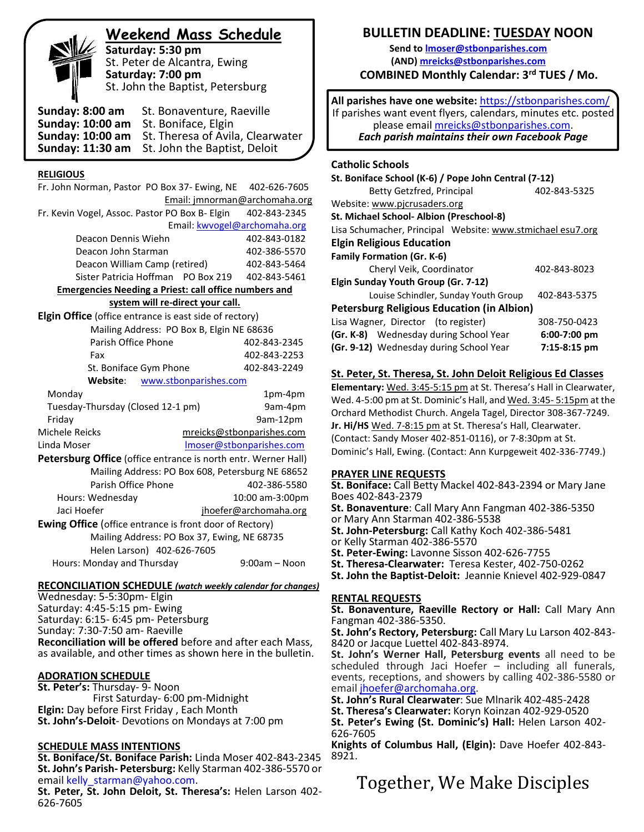# **Weekend Mass Schedule**

**Saturday: 5:30 pm** St. Peter de Alcantra, Ewing **Saturday: 7:00 pm** St. John the Baptist, Petersburg

**Sunday: 8:00 am** St. Bonaventure, Raeville **Sunday: 10:00 am** St. Boniface, Elgin **Sunday: 10:00 am** St. Theresa of Avila, Clearwater **Sunday: 11:30 am** St. John the Baptist, Deloit

#### **RELIGIOUS**

| Fr. John Norman, Pastor PO Box 37- Ewing, NE                   |                       | 402-626-7605                  |
|----------------------------------------------------------------|-----------------------|-------------------------------|
|                                                                |                       | Email: jmnorman@archomaha.org |
| Fr. Kevin Vogel, Assoc. Pastor PO Box B- Elgin                 |                       | 402-843-2345                  |
|                                                                |                       | Email: kwvogel@archomaha.org  |
| Deacon Dennis Wiehn                                            |                       | 402-843-0182                  |
| Deacon John Starman                                            |                       | 402-386-5570                  |
| Deacon William Camp (retired)                                  |                       | 402-843-5464                  |
| Sister Patricia Hoffman PO Box 219                             |                       | 402-843-5461                  |
| <b>Emergencies Needing a Priest: call office numbers and</b>   |                       |                               |
| system will re-direct your call.                               |                       |                               |
| <b>Elgin Office</b> (office entrance is east side of rectory)  |                       |                               |
| Mailing Address: PO Box B, Elgin NE 68636                      |                       |                               |
| Parish Office Phone                                            |                       | 402-843-2345                  |
| Fax                                                            |                       | 402-843-2253                  |
| St. Boniface Gym Phone                                         |                       | 402-843-2249                  |
| Website:                                                       | www.stbonparishes.com |                               |
| Monday                                                         |                       | 1pm-4pm                       |
| Tuesday-Thursday (Closed 12-1 pm)                              |                       | 9am-4pm                       |
| Friday                                                         |                       | 9am-12pm                      |
| Michele Reicks                                                 |                       | mreicks@stbonparishes.com     |
| Linda Moser                                                    |                       | Imoser@stbonparishes.com      |
| Petersburg Office (office entrance is north entr. Werner Hall) |                       |                               |
| Mailing Address: PO Box 608, Petersburg NE 68652               |                       |                               |
| Parish Office Phone                                            |                       | 402-386-5580                  |
| Hours: Wednesday                                               |                       | 10:00 am-3:00pm               |
| Jaci Hoefer                                                    |                       | jhoefer@archomaha.org         |
| <b>Ewing Office</b> (office entrance is front door of Rectory) |                       |                               |
| Mailing Address: PO Box 37, Ewing, NE 68735                    |                       |                               |
| Helen Larson) 402-626-7605                                     |                       |                               |
| Hours: Monday and Thursday                                     |                       | $9:00am - Noon$               |

#### **RECONCILIATION SCHEDULE** *(watch weekly calendar for changes)*

Wednesday: 5-5:30pm- Elgin Saturday: 4:45-5:15 pm- Ewing Saturday: 6:15- 6:45 pm- Petersburg Sunday: 7:30-7:50 am- Raeville **Reconciliation will be offered** before and after each Mass, as available, and other times as shown here in the bulletin.

#### **ADORATION SCHEDULE**

**St. Peter's:** Thursday- 9- Noon First Saturday- 6:00 pm-Midnight **Elgin:** Day before First Friday , Each Month **St. John's-Deloit**- Devotions on Mondays at 7:00 pm

#### **SCHEDULE MASS INTENTIONS**

**St. Boniface/St. Boniface Parish:** Linda Moser 402-843-2345 **St. John's Parish- Petersburg:** Kelly Starman 402-386-5570 or email [kelly\\_starman@yahoo.com.](mailto:kelly_starman@yahoo.com)

**St. Peter, St. John Deloit, St. Theresa's:** Helen Larson 402- 626-7605

## **BULLETIN DEADLINE: TUESDAY NOON**

**Send t[o lmoser@stbonparishes.com](mailto:lmoser@stbonparishes.com) (AND) [mreicks@stbonparishes.com](mailto:mreicks@stbonparishes.com) COMBINED Monthly Calendar: 3rd TUES / Mo.** 

 **All parishes have one website:** <https://stbonparishes.com/> If parishes want event flyers, calendars, minutes etc. posted please email [mreicks@stbonparishes.com.](mailto:mreicks@stbonparishes.com) *Each parish maintains their own Facebook Page*

#### **Catholic Schools**

| St. Boniface School (K-6) / Pope John Central (7-12)       |              |  |  |  |
|------------------------------------------------------------|--------------|--|--|--|
|                                                            |              |  |  |  |
| Betty Getzfred, Principal                                  | 402-843-5325 |  |  |  |
| Website: www.picrusaders.org                               |              |  |  |  |
| St. Michael School- Albion (Preschool-8)                   |              |  |  |  |
| Lisa Schumacher, Principal Website: www.stmichael esu7.org |              |  |  |  |
| <b>Elgin Religious Education</b>                           |              |  |  |  |
| <b>Family Formation (Gr. K-6)</b>                          |              |  |  |  |
| Cheryl Veik, Coordinator<br>402-843-8023                   |              |  |  |  |
| Elgin Sunday Youth Group (Gr. 7-12)                        |              |  |  |  |
| Louise Schindler, Sunday Youth Group<br>402-843-5375       |              |  |  |  |
| <b>Petersburg Religious Education (in Albion)</b>          |              |  |  |  |
| Lisa Wagner, Director (to register)<br>308-750-0423        |              |  |  |  |
| (Gr. K-8) Wednesday during School Year<br>$6:00-7:00$ pm   |              |  |  |  |
| (Gr. 9-12) Wednesday during School Year<br>7:15-8:15 pm    |              |  |  |  |

#### **St. Peter, St. Theresa, St. John Deloit Religious Ed Classes**

**Elementary:** Wed. 3:45-5:15 pm at St. Theresa's Hall in Clearwater, Wed. 4-5:00 pm at St. Dominic's Hall, and Wed. 3:45- 5:15pm at the Orchard Methodist Church. Angela Tagel, Director 308-367-7249. **Jr. Hi/HS** Wed. 7-8:15 pm at St. Theresa's Hall, Clearwater. (Contact: Sandy Moser 402-851-0116), or 7-8:30pm at St. Dominic's Hall, Ewing. (Contact: Ann Kurpgeweit 402-336-7749.)

#### **PRAYER LINE REQUESTS**

**St. Boniface:** Call Betty Mackel 402-843-2394 or Mary Jane Boes 402-843-2379

**St. Bonaventure**: Call Mary Ann Fangman 402-386-5350 or Mary Ann Starman 402-386-5538

**St. John-Petersburg:** Call Kathy Koch 402-386-5481

or Kelly Starman 402-386-5570

**St. Peter-Ewing:** Lavonne Sisson 402-626-7755

**St. Theresa-Clearwater:** Teresa Kester, 402-750-0262

**St. John the Baptist-Deloit:** Jeannie Knievel 402-929-0847

#### **RENTAL REQUESTS**

**St. Bonaventure, Raeville Rectory or Hall:** Call Mary Ann Fangman 402-386-5350.

**St. John's Rectory, Petersburg:** Call Mary Lu Larson 402-843- 8420 or Jacque Luettel 402-843-8974.

**St. John's Werner Hall, Petersburg events** all need to be scheduled through Jaci Hoefer – including all funerals, events, receptions, and showers by calling 402-386-5580 or email [jhoefer@archomaha.org.](mailto:jhoefer@archomaha.org)

**St. John's Rural Clearwater**: Sue Mlnarik 402-485-2428

**St. Theresa's Clearwater:** Koryn Koinzan 402-929-0520

**St. Peter's Ewing (St. Dominic's) Hall:** Helen Larson 402- 626-7605

**Knights of Columbus Hall, (Elgin):** Dave Hoefer 402-843- 8921.

Together, We Make Disciples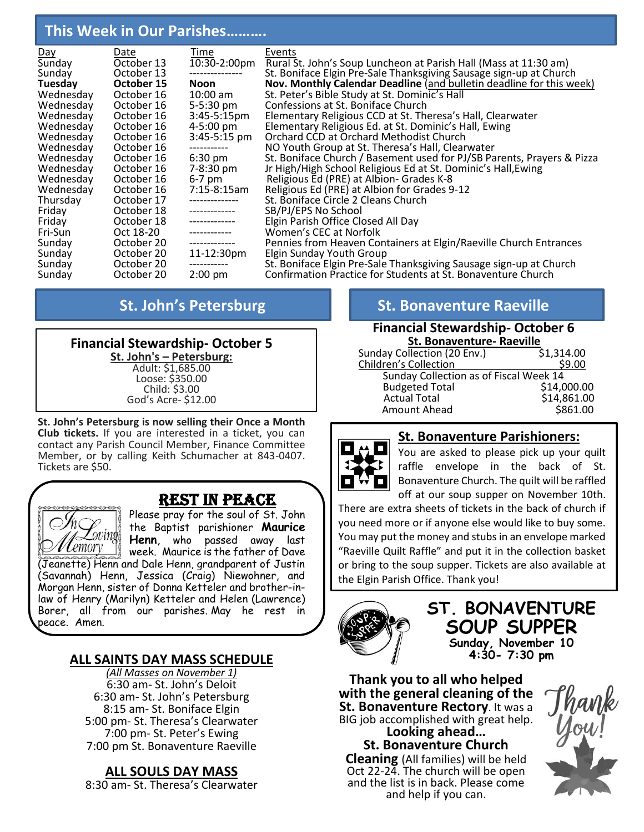# **This Week in Our Parishes……….**

| Day       | Date       | Time                  | Events                                                                 |
|-----------|------------|-----------------------|------------------------------------------------------------------------|
| Sunday    | October 13 | 10:30-2:00pm          | Rural St. John's Soup Luncheon at Parish Hall (Mass at 11:30 am)       |
| Sunday    | October 13 |                       | St. Boniface Elgin Pre-Sale Thanksgiving Sausage sign-up at Church     |
| Tuesday   | October 15 | Noon                  | Nov. Monthly Calendar Deadline (and bulletin deadline for this week)   |
| Wednesday | October 16 | $10:00 \text{ am}$    | St. Peter's Bible Study at St. Dominic's Hall                          |
| Wednesday | October 16 | $5 - 5:30$ pm         | Confessions at St. Boniface Church                                     |
| Wednesday | October 16 | $3:45-5:15 \text{pm}$ | Elementary Religious CCD at St. Theresa's Hall, Clearwater             |
| Wednesday | October 16 | $4 - 5:00 \text{ pm}$ | Elementary Religious Ed. at St. Dominic's Hall, Ewing                  |
| Wednesday | October 16 | $3:45 - 5:15$ pm      | Orchard CCD at Orchard Methodist Church                                |
| Wednesday | October 16 | ------------          | NO Youth Group at St. Theresa's Hall, Clearwater                       |
| Wednesday | October 16 | $6:30 \text{ pm}$     | St. Boniface Church / Basement used for PJ/SB Parents, Prayers & Pizza |
| Wednesday | October 16 | $7 - 8:30$ pm         | Jr High/High School Religious Ed at St. Dominic's Hall, Ewing          |
| Wednesday | October 16 | $6-7$ pm              | Religious Ed (PRE) at Albion- Grades K-8                               |
| Wednesday | October 16 | $7:15-8:15am$         | Religious Ed (PRE) at Albion for Grades 9-12                           |
| Thursday  | October 17 | --------------        | St. Boniface Circle 2 Cleans Church                                    |
| Friday    | October 18 | -------------         | SB/PJ/EPS No School                                                    |
| Friday    | October 18 | --------------        | Elgin Parish Office Closed All Day                                     |
| Fri-Sun   | Oct 18-20  | -------------         | Women's CEC at Norfolk                                                 |
| Sunday    | October 20 | -------------         | Pennies from Heaven Containers at Elgin/Raeville Church Entrances      |
| Sunday    | October 20 | 11-12:30pm            | Elgin Sunday Youth Group                                               |
| Sunday    | October 20 | -----------           | St. Boniface Elgin Pre-Sale Thanksgiving Sausage sign-up at Church     |
| Sunday    | October 20 | $2:00$ pm             | Confirmation Practice for Students at St. Bonaventure Church           |

## **Financial Stewardship- October 5**

**St. John's – Petersburg:** Adult: \$1,685.00 Loose: \$350.00 Child: \$3.00 God's Acre- \$12.00

**St. John's Petersburg is now selling their Once a Month Club tickets.** If you are interested in a ticket, you can contact any Parish Council Member, Finance Committee Member, or by calling Keith Schumacher at 843-0407. Tickets are \$50.

# Rest in Peace

Loving emory

peace. Amen.

Please pray for the soul of St. John the Baptist parishioner **Maurice Henn**, who passed away last week. Maurice is the father of Dave (Jeanette) Henn and Dale Henn, grandparent of Justin (Savannah) Henn, Jessica (Craig) Niewohner, and Morgan Henn, sister of Donna Ketteler and brother-inlaw of Henry (Marilyn) Ketteler and Helen (Lawrence) Borer, all from our parishes. May he rest in

# **ALL SAINTS DAY MASS SCHEDULE**

*(All Masses on November 1)* 6:30 am- St. John's Deloit 6:30 am- St. John's Petersburg 8:15 am- St. Boniface Elgin 5:00 pm- St. Theresa's Clearwater 7:00 pm- St. Peter's Ewing 7:00 pm St. Bonaventure Raeville

# **ALL SOULS DAY MASS**

8:30 am- St. Theresa's Clearwater

# **St. John's Petersburg St. Bonaventure Raeville**

#### **Financial Stewardship- October 6 St. Bonaventure- Raeville**

| Sunday Collection (20 Env.)            | \$1,314.00  |
|----------------------------------------|-------------|
| <b>Children's Collection</b>           | \$9.00      |
| Sunday Collection as of Fiscal Week 14 |             |
| <b>Budgeted Total</b>                  | \$14,000.00 |
| <b>Actual Total</b>                    | \$14,861.00 |
| Amount Ahead                           | \$861.00    |
|                                        |             |



# **St. Bonaventure Parishioners:**

You are asked to please pick up your quilt raffle envelope in the back of St. Bonaventure Church. The quilt will be raffled off at our soup supper on November 10th.

There are extra sheets of tickets in the back of church if you need more or if anyone else would like to buy some. You may put the money and stubs in an envelope marked "Raeville Quilt Raffle" and put it in the collection basket or bring to the soup supper. Tickets are also available at the Elgin Parish Office. Thank you!



## **ST. BONAVENTURE SOUP SUPPER Sunday, November 10 4:30- 7:30 pm**

**Thank you to all who helped with the general cleaning of the St. Bonaventure Rectory**. It was a BIG job accomplished with great help.

**Looking ahead… St. Bonaventure Church Cleaning** (All families) will be held Oct 22-24. The church will be open and the list is in back. Please come and help if you can.

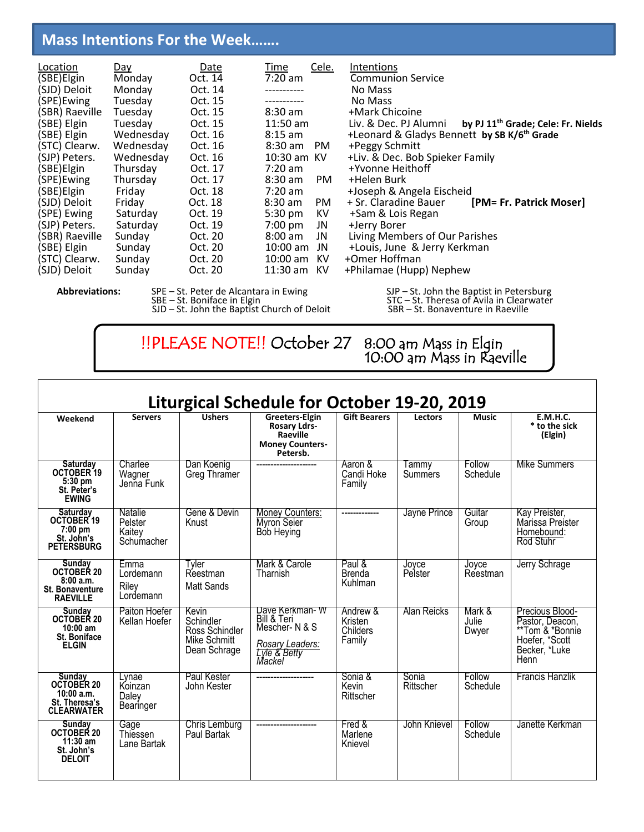# **Mass Intentions For the Week…….**

| Location       | Day       | <b>Date</b> | Cele.<br>Time            | Intentions                                                              |
|----------------|-----------|-------------|--------------------------|-------------------------------------------------------------------------|
| (SBE) Elgin    | Monday    | Oct. 14     | $7:20$ am                | <b>Communion Service</b>                                                |
| (SJD) Deloit   | Monday    | Oct. 14     |                          | No Mass                                                                 |
| (SPE)Ewing     | Tuesday   | Oct. 15     |                          | No Mass                                                                 |
| (SBR) Raeville | Tuesday   | Oct. 15     | $8:30$ am                | +Mark Chicoine                                                          |
| (SBE) Elgin    | Tuesday   | Oct. 15     | $11:50$ am               | by PJ 11 <sup>th</sup> Grade; Cele: Fr. Nields<br>Liv. & Dec. PJ Alumni |
| (SBE) Elgin    | Wednesday | Oct. 16     | $8:15$ am                | +Leonard & Gladys Bennett by SB K/6 <sup>th</sup> Grade                 |
| (STC) Clearw.  | Wednesday | Oct. 16     | $8:30$ am<br>PM.         | +Peggy Schmitt                                                          |
| (SJP) Peters.  | Wednesday | Oct. 16     | 10:30 am KV              | +Liv. & Dec. Bob Spieker Family                                         |
| (SBE)Elgin     | Thursday  | Oct. 17     | $7:20$ am                | +Yvonne Heithoff                                                        |
| (SPE)Ewing     | Thursday  | Oct. 17     | $8:30$ am<br>PM.         | +Helen Burk                                                             |
| (SBE)Elgin     | Friday    | Oct. 18     | $7:20 \text{ am}$        | +Joseph & Angela Eischeid                                               |
| (SJD) Deloit   | Friday    | Oct. 18     | $8:30$ am<br>PM.         | [PM= Fr. Patrick Moser]<br>+ Sr. Claradine Bauer                        |
| (SPE) Ewing    | Saturday  | Oct. 19     | KV.<br>$5:30 \text{ pm}$ | +Sam & Lois Regan                                                       |
| (SJP) Peters.  | Saturday  | Oct. 19     | $7:00$ pm<br>JN          | +Jerry Borer                                                            |
| (SBR) Raeville | Sunday    | Oct. 20     | $8:00$ am<br>JN          | Living Members of Our Parishes                                          |
| (SBE) Elgin    | Sunday    | Oct. 20     | $10:00$ am<br>JN         | +Louis, June & Jerry Kerkman                                            |
| (STC) Clearw.  | Sunday    | Oct. 20     | $10:00$ am<br>KV.        | +Omer Hoffman                                                           |
| (SJD) Deloit   | Sunday    | Oct. 20     | 11:30 am KV              | +Philamae (Hupp) Nephew                                                 |
|                |           |             |                          |                                                                         |

֖֚֚֚֬

1

ֺֺ֞֡

SJD – St. John the Baptist Church of Deloit SBR – St. Bonaventure in Raeville

Abbreviations: SPE – St. Peter de Alcantara in Ewing SJP – St. John the Baptist in Petersburg SBE – St. Boniface in Elgin STC – St. Theresa of Avila in Clearwater

> !!PLEASE NOTE!! October 27 8:00 am Mass in Elgin 8:00 am Mass in Elgin<br>10:00 am Mass in Raeville

| Liturgical Schedule for October 19-20, 2019                                            |                                            |                                                                      |                                                                                             |                                           |                    |                          |                                                                                                  |
|----------------------------------------------------------------------------------------|--------------------------------------------|----------------------------------------------------------------------|---------------------------------------------------------------------------------------------|-------------------------------------------|--------------------|--------------------------|--------------------------------------------------------------------------------------------------|
| Weekend                                                                                | <b>Servers</b>                             | <b>Ushers</b>                                                        | Greeters-Elgin<br><b>Rosary Ldrs-</b><br>Raeville<br><b>Money Counters-</b><br>Petersb.     | <b>Gift Bearers</b>                       | <b>Lectors</b>     | <b>Music</b>             | E.M.H.C.<br>* to the sick<br>(Elgin)                                                             |
| Saturday<br>OCTOBER 19<br>$5:30$ pm<br>St. Peter's<br><b>EWING</b>                     | Charlee<br>Wagner<br>Jenna Funk            | Dan Koenig<br>Greg Thramer                                           |                                                                                             | Aaron &<br>Candi Hoke<br>Family           | Tammy<br>Summers   | Follow<br>Schedule       | Mike Summers                                                                                     |
| <b>Saturday</b><br>OCTOBER 19<br>$7:00$ pm<br>St. John's<br><b>PETERSBURG</b>          | Natalie<br>Pelster<br>Kaitey<br>Schumacher | Gene & Devin<br>Knust                                                | <b>Money Counters:</b><br>Myron Seier<br>Bób Heying                                         | -------------                             | Jayne Prince       | Guitar<br>Group          | Kay Preister,<br>Marissa Preister<br>Homebound:<br>Rod Stuhr                                     |
| Sunday<br>OCTOBER 20<br>8:00a.m.<br>St. Bonaventure<br><b>RAEVILLE</b>                 | Emma<br>Lordemann<br>Riley<br>Lordemann    | Tyler<br>Reestman<br>Matt Sands                                      | Mark & Carole<br>Tharnish                                                                   | Paul &<br><b>Brenda</b><br>Kuhlman        | Joyce<br>Pelster   | Joyce<br>Reestman        | Jerry Schrage                                                                                    |
| Sunday<br>OCTOBER 20<br>$10:00$ am<br>St. Boniface<br><b>ELGIN</b>                     | Paiton Hoefer<br>Kellan Hoefer             | Kevin<br>Schindler<br>Ross Schindler<br>Mike Schmitt<br>Dean Schrage | Dave Kerkman-W<br>Bill & Teri<br>Mescher-N & S<br>Rosary Leaders:<br>Lyle & Betty<br>Mackel | Andrew &<br>Kristen<br>Childers<br>Family | Alan Reicks        | Mark &<br>Julie<br>Dwyer | Precious Blood-<br>Pastor, Deacon,<br>**Tom & *Bonnie<br>Hoefer, *Scott<br>Becker, *Luke<br>Henn |
| <b>Sunday</b><br><b>OCTOBER 20</b><br>10:00 a.m.<br>St. Theresa's<br><b>CLEARWATER</b> | Lvnae<br>Koinzan<br>Daley<br>Bearinger     | Paul Kester<br>John Kester                                           | ---------------------                                                                       | Sonia &<br>Kevin<br>Rittscher             | Sonia<br>Rittscher | Follow<br>Schedule       | Francis Hanzlik                                                                                  |
| Sunday<br>OCTOBER 20<br>$11:30$ am<br>St. John's<br><b>DELOIT</b>                      | Gage<br>Thiessen<br>Lane Bartak            | Chris Lemburg<br>Paul Bartak                                         |                                                                                             | Fred &<br>Marlene<br>Knievel              | John Knievel       | Follow<br>Schedule       | Janette Kerkman                                                                                  |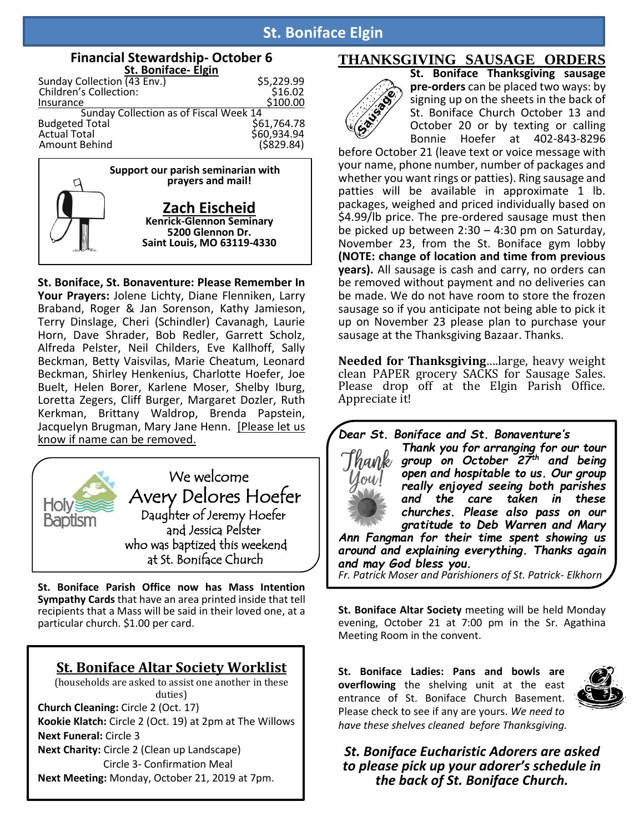# **St. Boniface Elgin**

| <b>Financial Stewardship-October 6</b><br>St. Boniface- Elgin |                            |
|---------------------------------------------------------------|----------------------------|
| Sunday Collection (43 Env.)                                   | \$5,229.99                 |
| Children's Collection:                                        | \$16.02                    |
| Insurance                                                     | \$100.00                   |
| Sunday Collection as of Fiscal Week 14                        |                            |
| <b>Budgeted Total</b>                                         | \$61,764.78<br>\$60,934.94 |
| <b>Actual Total</b>                                           |                            |
| Amount Behind                                                 | (5829.84)                  |
| Support our parish seminarian with<br>prayers and mail!       |                            |



**St. Boniface, St. Bonaventure: Please Remember In Your Prayers:** Jolene Lichty, Diane Flenniken, Larry Braband, Roger & Jan Sorenson, Kathy Jamieson, Terry Dinslage, Cheri (Schindler) Cavanagh, Laurie Horn, Dave Shrader, Bob Redler, Garrett Scholz, Alfreda Pelster, Neil Childers, Eve Kallhoff, Sally Beckman, Betty Vaisvilas, Marie Cheatum, Leonard Beckman, Shirley Henkenius, Charlotte Hoefer, Joe Buelt, Helen Borer, Karlene Moser, Shelby Iburg, Loretta Zegers, Cliff Burger, Margaret Dozler, Ruth Kerkman, Brittany Waldrop, Brenda Papstein, Jacquelyn Brugman, Mary Jane Henn. [Please let us know if name can be removed.



**St. Boniface Parish Office now has Mass Intention Sympathy Cards** that have an area printed inside that tell recipients that a Mass will be said in their loved one, at a particular church. \$1.00 per card.

## **St. Boniface Altar Society Worklist**

(households are asked to assist one another in these duties) **Church Cleaning:** Circle 2 (Oct. 17) **Kookie Klatch:** Circle 2 (Oct. 19) at 2pm at The Willows **Next Funeral:** Circle 3 **Next Charity:** Circle 2 (Clean up Landscape) Circle 3- Confirmation Meal

**Next Meeting:** Monday, October 21, 2019 at 7pm.

## **THANKSGIVING SAUSAGE ORDERS**



**St. Boniface Thanksgiving sausage pre-orders** can be placed two ways: by signing up on the sheets in the back of St. Boniface Church October 13 and October 20 or by texting or calling Bonnie Hoefer at 402-843-8296

before October 21 (leave text or voice message with your name, phone number, number of packages and whether you want rings or patties). Ring sausage and patties will be available in approximate 1 lb. packages, weighed and priced individually based on \$4.99/lb price. The pre-ordered sausage must then be picked up between 2:30 – 4:30 pm on Saturday, November 23, from the St. Boniface gym lobby **(NOTE: change of location and time from previous years).** All sausage is cash and carry, no orders can be removed without payment and no deliveries can be made. We do not have room to store the frozen sausage so if you anticipate not being able to pick it up on November 23 please plan to purchase your sausage at the Thanksgiving Bazaar. Thanks.

**Needed for Thanksgiving**….large, heavy weight clean PAPER grocery SACKS for Sausage Sales. Please drop off at the Elgin Parish Office. Appreciate it!

*Dear St. Boniface and St. Bonaventure's*

*Thank you for arranging for our tour group on October 27th and being open and hospitable to us. Our group really enjoyed seeing both parishes and the care taken in these churches. Please also pass on our gratitude to Deb Warren and Mary Ann Fangman for their time spent showing us* 

*around and explaining everything. Thanks again and may God bless you.*

*Fr. Patrick Moser and Parishioners of St. Patrick- Elkhorn*

**St. Boniface Altar Society** meeting will be held Monday evening, October 21 at 7:00 pm in the Sr. Agathina Meeting Room in the convent.

**St. Boniface Ladies: Pans and bowls are overflowing** the shelving unit at the east entrance of St. Boniface Church Basement. Please check to see if any are yours. *We need to have these shelves cleaned before Thanksgiving.*



*St. Boniface Eucharistic Adorers are asked to please pick up your adorer's schedule in the back of St. Boniface Church.*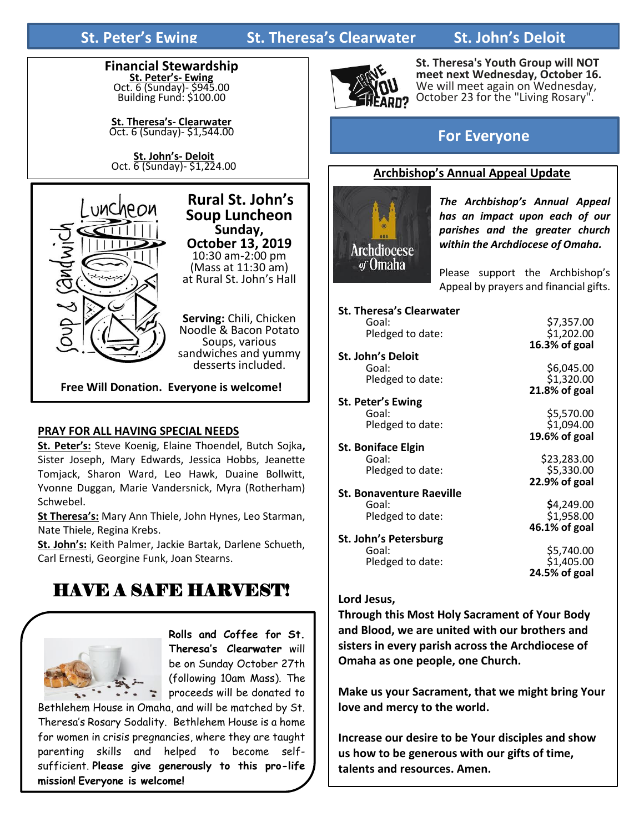

**St. Theresa's- Clearwater**  Oct. 6 (Sunday)- \$1,544.00

**St. John's- Deloit** Oct. 6 (Sunday)- \$1,224.00



 **Rural St. John's Soup Luncheon Sunday, October 13, 2019** 10:30 am-2:00 pm (Mass at 11:30 am) at Rural St. John's Hall

**Serving:** Chili, Chicken Noodle & Bacon Potato Soups, various sandwiches and yummy desserts included.

**Free Will Donation. Everyone is welcome!**

## **PRAY FOR ALL HAVING SPECIAL NEEDS**

**St. Peter's:** Steve Koenig, Elaine Thoendel, Butch Sojka**,**  Sister Joseph, Mary Edwards, Jessica Hobbs, Jeanette Tomjack, Sharon Ward, Leo Hawk, Duaine Bollwitt, Yvonne Duggan, Marie Vandersnick, Myra (Rotherham) Schwebel.

**St Theresa's:** Mary Ann Thiele, John Hynes, Leo Starman, Nate Thiele, Regina Krebs.

**St. John's:** Keith Palmer, Jackie Bartak, Darlene Schueth, Carl Ernesti, Georgine Funk, Joan Stearns.

# HAVE A SAFE HARVEST!



**Rolls and Coffee for St. Theresa's Clearwater** will be on Sunday October 27th (following 10am Mass). The proceeds will be donated to

Bethlehem House in Omaha, and will be matched by St. Theresa's Rosary Sodality. Bethlehem House is a home for women in crisis pregnancies, where they are taught parenting skills and helped to become selfsufficient. **Please give generously to this pro-life mission! Everyone is welcome!**



**St. Theresa's Youth Group will NOT meet next Wednesday, October 16.**  We will meet again on Wednesday, October 23 for the "Living Rosary".

# **For Everyone**

### **Archbishop's Annual Appeal Update**



*The Archbishop's Annual Appeal has an impact upon each of our parishes and the greater church within the Archdiocese of Omaha.* 

Please support the Archbishop's Appeal by prayers and financial gifts.

| <b>St. Theresa's Clearwater</b> |               |
|---------------------------------|---------------|
| Goal:                           | \$7,357.00    |
| Pledged to date:                | \$1,202.00    |
|                                 | 16.3% of goal |
| St. John's Deloit               |               |
| Goal:                           | \$6,045.00    |
| Pledged to date:                | \$1,320.00    |
|                                 | 21.8% of goal |
| St. Peter's Ewing               |               |
| Goal:                           | \$5,570.00    |
| Pledged to date:                | \$1,094.00    |
|                                 | 19.6% of goal |
| <b>St. Boniface Elgin</b>       |               |
| Goal:                           | \$23,283.00   |
| Pledged to date:                | \$5,330.00    |
|                                 | 22.9% of goal |
| <b>St. Bonaventure Raeville</b> |               |
| Goal:                           | \$4,249.00    |
| Pledged to date:                | \$1,958.00    |
|                                 | 46.1% of goal |
| St. John's Petersburg           |               |
| Goal:                           | \$5,740.00    |
| Pledged to date:                | \$1,405.00    |
|                                 | 24.5% of goal |
|                                 |               |

#### **Lord Jesus,**

**Through this Most Holy Sacrament of Your Body and Blood, we are united with our brothers and sisters in every parish across the Archdiocese of Omaha as one people, one Church.**

**Make us your Sacrament, that we might bring Your love and mercy to the world.**

**Increase our desire to be Your disciples and show us how to be generous with our gifts of time, talents and resources. Amen.**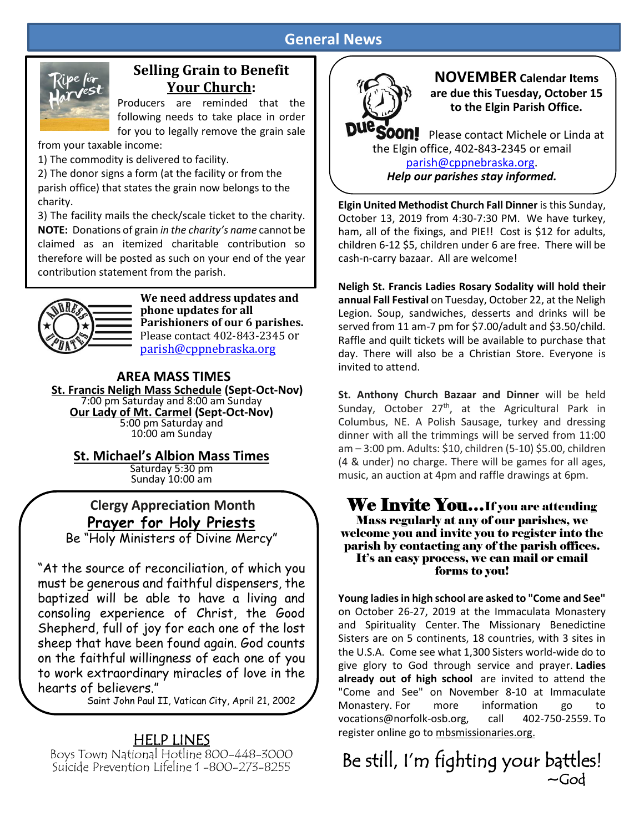# **General News**



# **Selling Grain to Benefit Your Church:**

Producers are reminded that the following needs to take place in order for you to legally remove the grain sale

from your taxable income:

1) The commodity is delivered to facility.

2) The donor signs a form (at the facility or from the parish office) that states the grain now belongs to the charity.

3) The facility mails the check/scale ticket to the charity. **NOTE:** Donations of grain *in the charity's name* cannot be claimed as an itemized charitable contribution so therefore will be posted as such on your end of the year contribution statement from the parish. 



**We need address updates and phone updates for all Parishioners of our 6 parishes.**  Please contact 402-843-2345 or [parish@cppnebraska.org](mailto:parish@cppnebraska.org)

#### **AREA MASS TIMES St. Francis Neligh Mass Schedule (Sept-Oct-Nov)** 7:00 pm Saturday and 8:00 am Sunday **Our Lady of Mt. Carmel (Sept-Oct-Nov)**  5:00 pm Saturday and 10:00 am Sunday

**St. Michael's Albion Mass Times**

Saturday 5:30 pm Sunday 10:00 am

# **Clergy Appreciation Month Prayer for Holy Priests**

Be "Holy Ministers of Divine Mercy"

"At the source of reconciliation, of which you must be generous and faithful dispensers, the baptized will be able to have a living and consoling experience of Christ, the Good Shepherd, full of joy for each one of the lost sheep that have been found again. God counts on the faithful willingness of each one of you to work extraordinary miracles of love in the hearts of believers."

Saint John Paul II, Vatican City, April 21, 2002

# HELP LINES

Boys Town National Hotline 800-448-3000 Suicide Prevention Lifeline 1 -800-273-8255



**NOVEMBER Calendar Items are due this Tuesday, October 15 to the Elgin Parish Office.**

**FOON!** Please contact Michele or Linda at the Elgin office, 402-843-2345 or email [parish@cppnebraska.org.](mailto:parish@cppnebraska.org) *Help our parishes stay informed.*

**Elgin United Methodist Church Fall Dinner** is this Sunday, October 13, 2019 from 4:30-7:30 PM. We have turkey, ham, all of the fixings, and PIE!! Cost is \$12 for adults, children 6-12 \$5, children under 6 are free. There will be cash-n-carry bazaar. All are welcome!

**Neligh St. Francis Ladies Rosary Sodality will hold their annual Fall Festival** on Tuesday, October 22, at the Neligh Legion. Soup, sandwiches, desserts and drinks will be served from 11 am-7 pm for \$7.00/adult and \$3.50/child. Raffle and quilt tickets will be available to purchase that day. There will also be a Christian Store. Everyone is invited to attend.

**St. Anthony Church Bazaar and Dinner** will be held Sunday, October 27<sup>th</sup>, at the Agricultural Park in Columbus, NE. A Polish Sausage, turkey and dressing dinner with all the trimmings will be served from 11:00 am – 3:00 pm. Adults: \$10, children (5-10) \$5.00, children (4 & under) no charge. There will be games for all ages, music, an auction at 4pm and raffle drawings at 6pm.

## We Invite You...If you are attending Mass regularly at any of our parishes, we welcome you and invite you to register into the parish by contacting any of the parish offices. It's an easy process, we can mail or email forms to you!

**Young ladies in high school are asked to "Come and See"**  on October 26-27, 2019 at the Immaculata Monastery and Spirituality Center. The Missionary Benedictine Sisters are on 5 continents, 18 countries, with 3 sites in the U.S.A. Come see what 1,300 Sisters world-wide do to give glory to God through service and prayer. **Ladies already out of high school** are invited to attend the "Come and See" on November 8-10 at Immaculate Monastery. For more information go to vocations@norfolk-osb.org, call 402-750-2559. To register online go to mbsmissionaries.org.

# Be still, I'm fighting your battles!  $\sim$ God $\sim$